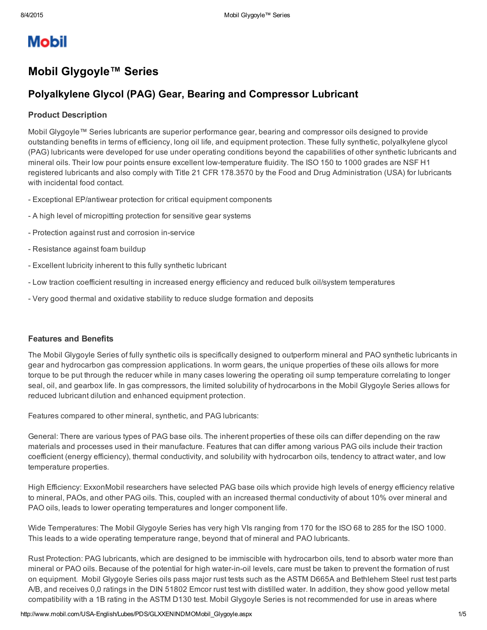# **Mobil**

# Mobil Glygoyle™ Series

## Polyalkylene Glycol (PAG) Gear, Bearing and Compressor Lubricant

#### Product Description

Mobil Glygoyle™ Series lubricants are superior performance gear, bearing and compressor oils designed to provide outstanding benefits in terms of efficiency, long oil life, and equipment protection. These fully synthetic, polyalkylene glycol (PAG) lubricants were developed for use under operating conditions beyond the capabilities of other synthetic lubricants and mineral oils. Their low pour points ensure excellent low-temperature fluidity. The ISO 150 to 1000 grades are NSF H1 registered lubricants and also comply with Title 21 CFR 178.3570 by the Food and Drug Administration (USA) for lubricants with incidental food contact.

- Exceptional EP/antiwear protection for critical equipment components
- A high level of micropitting protection for sensitive gear systems
- Protection against rust and corrosion in-service
- Resistance against foam buildup
- Excellent lubricity inherent to this fully synthetic lubricant
- Low traction coefficient resulting in increased energy efficiency and reduced bulk oil/system temperatures
- Very good thermal and oxidative stability to reduce sludge formation and deposits

#### Features and Benefits

The Mobil Glygoyle Series of fully synthetic oils is specifically designed to outperform mineral and PAO synthetic lubricants in gear and hydrocarbon gas compression applications. In worm gears, the unique properties of these oils allows for more torque to be put through the reducer while in many cases lowering the operating oil sump temperature correlating to longer seal, oil, and gearbox life. In gas compressors, the limited solubility of hydrocarbons in the Mobil Glygoyle Series allows for reduced lubricant dilution and enhanced equipment protection.

Features compared to other mineral, synthetic, and PAG lubricants:

General: There are various types of PAG base oils. The inherent properties of these oils can differ depending on the raw materials and processes used in their manufacture. Features that can differ among various PAG oils include their traction coefficient (energy efficiency), thermal conductivity, and solubility with hydrocarbon oils, tendency to attract water, and low temperature properties.

High Efficiency: ExxonMobil researchers have selected PAG base oils which provide high levels of energy efficiency relative to mineral, PAOs, and other PAG oils. This, coupled with an increased thermal conductivity of about 10% over mineral and PAO oils, leads to lower operating temperatures and longer component life.

Wide Temperatures: The Mobil Glygoyle Series has very high VIs ranging from 170 for the ISO 68 to 285 for the ISO 1000. This leads to a wide operating temperature range, beyond that of mineral and PAO lubricants.

Rust Protection: PAG lubricants, which are designed to be immiscible with hydrocarbon oils, tend to absorb water more than mineral or PAO oils. Because of the potential for high water-in-oil levels, care must be taken to prevent the formation of rust on equipment. Mobil Glygoyle Series oils pass major rust tests such as the ASTM D665A and Bethlehem Steel rust test parts A/B, and receives 0,0 ratings in the DIN 51802 Emcor rust test with distilled water. In addition, they show good yellow metal compatibility with a 1B rating in the ASTM D130 test. Mobil Glygoyle Series is not recommended for use in areas where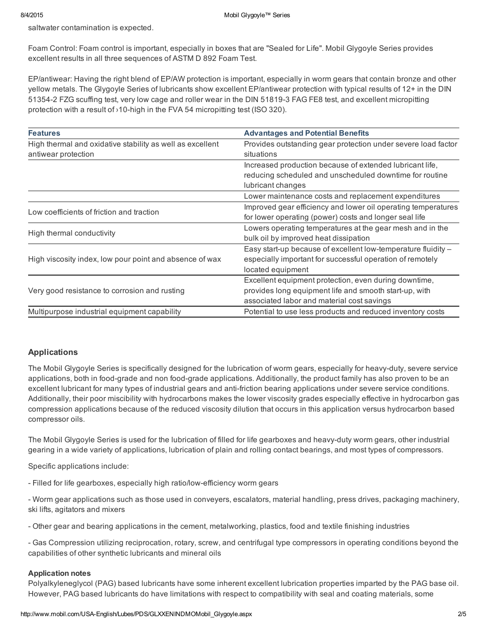saltwater contamination is expected.

Foam Control: Foam control is important, especially in boxes that are "Sealed for Life". Mobil Glygoyle Series provides excellent results in all three sequences of ASTM D 892 Foam Test.

EP/antiwear: Having the right blend of EP/AW protection is important, especially in worm gears that contain bronze and other yellow metals. The Glygoyle Series of lubricants show excellent EP/antiwear protection with typical results of 12+ in the DIN 513542 FZG scuffing test, very low cage and roller wear in the DIN 518193 FAG FE8 test, and excellent micropitting protection with a result of  $\frac{10}{10}$ -high in the FVA 54 micropitting test (ISO 320).

| <b>Features</b>                                                                  | <b>Advantages and Potential Benefits</b>                                                                                                                      |  |  |  |  |
|----------------------------------------------------------------------------------|---------------------------------------------------------------------------------------------------------------------------------------------------------------|--|--|--|--|
| High thermal and oxidative stability as well as excellent<br>antiwear protection | Provides outstanding gear protection under severe load factor<br>situations                                                                                   |  |  |  |  |
|                                                                                  | Increased production because of extended lubricant life,<br>reducing scheduled and unscheduled downtime for routine<br>lubricant changes                      |  |  |  |  |
|                                                                                  | Lower maintenance costs and replacement expenditures                                                                                                          |  |  |  |  |
| Low coefficients of friction and traction                                        | Improved gear efficiency and lower oil operating temperatures<br>for lower operating (power) costs and longer seal life                                       |  |  |  |  |
| High thermal conductivity                                                        | Lowers operating temperatures at the gear mesh and in the<br>bulk oil by improved heat dissipation                                                            |  |  |  |  |
| High viscosity index, low pour point and absence of wax                          | Easy start-up because of excellent low-temperature fluidity -<br>especially important for successful operation of remotely<br>located equipment               |  |  |  |  |
| Very good resistance to corrosion and rusting                                    | Excellent equipment protection, even during downtime,<br>provides long equipment life and smooth start-up, with<br>associated labor and material cost savings |  |  |  |  |
| Multipurpose industrial equipment capability                                     | Potential to use less products and reduced inventory costs                                                                                                    |  |  |  |  |

#### Applications

The Mobil Glygoyle Series is specifically designed for the lubrication of worm gears, especially for heavy-duty, severe service applications, both in food-grade and non food-grade applications. Additionally, the product family has also proven to be an excellent lubricant for many types of industrial gears and anti-friction bearing applications under severe service conditions. Additionally, their poor miscibility with hydrocarbons makes the lower viscosity grades especially effective in hydrocarbon gas compression applications because of the reduced viscosity dilution that occurs in this application versus hydrocarbon based compressor oils.

The Mobil Glygoyle Series is used for the lubrication of filled for life gearboxes and heavy-duty worm gears, other industrial gearing in a wide variety of applications, lubrication of plain and rolling contact bearings, and most types of compressors.

Specific applications include:

- Filled for life gearboxes, especially high ratio/low-efficiency worm gears

 Worm gear applications such as those used in conveyers, escalators, material handling, press drives, packaging machinery, ski lifts, agitators and mixers

Other gear and bearing applications in the cement, metalworking, plastics, food and textile finishing industries

 Gas Compression utilizing reciprocation, rotary, screw, and centrifugal type compressors in operating conditions beyond the capabilities of other synthetic lubricants and mineral oils

#### Application notes

Polyalkyleneglycol (PAG) based lubricants have some inherent excellent lubrication properties imparted by the PAG base oil. However, PAG based lubricants do have limitations with respect to compatibility with seal and coating materials, some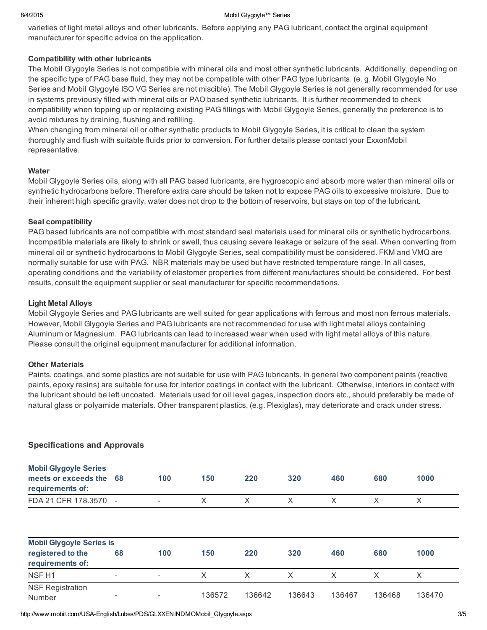#### 8/4/2015 Mobil Glygoyle™ Series

varieties of light metal alloys and other lubricants. Before applying any PAG lubricant, contact the orginal equipment manufacturer for specific advice on the application.

#### Compatibility with other lubricants

The Mobil Glygoyle Series is not compatible with mineral oils and most other synthetic lubricants. Additionally, depending on the specific type of PAG base fluid, they may not be compatible with other PAG type lubricants. (e. g. Mobil Glygoyle No Series and Mobil Glygoyle ISO VG Series are not miscible). The Mobil Glygoyle Series is not generally recommended for use in systems previously filled with mineral oils or PAO based synthetic lubricants. It is further recommended to check compatibility when topping up or replacing existing PAG fillings with Mobil Glygoyle Series, generally the preference is to avoid mixtures by draining, flushing and refilling.

When changing from mineral oil or other synthetic products to Mobil Glygoyle Series, it is critical to clean the system thoroughly and flush with suitable fluids prior to conversion. For further details please contact your ExxonMobil representative.

#### **Water**

Mobil Glygoyle Series oils, along with all PAG based lubricants, are hygroscopic and absorb more water than mineral oils or synthetic hydrocarbons before. Therefore extra care should be taken not to expose PAG oils to excessive moisture. Due to their inherent high specific gravity, water does not drop to the bottom of reservoirs, but stays on top of the lubricant.

#### Seal compatibility

PAG based lubricants are not compatible with most standard seal materials used for mineral oils or synthetic hydrocarbons. Incompatible materials are likely to shrink or swell, thus causing severe leakage or seizure of the seal. When converting from mineral oil or synthetic hydrocarbons to Mobil Glygoyle Series, seal compatibility must be considered. FKM and VMQ are normally suitable for use with PAG. NBR materials may be used but have restricted temperature range. In all cases, operating conditions and the variability of elastomer properties from different manufactures should be considered. For best results, consult the equipment supplier or seal manufacturer for specific recommendations.

#### Light Metal Alloys

Mobil Glygoyle Series and PAG lubricants are well suited for gear applications with ferrous and most non ferrous materials. However, Mobil Glygoyle Series and PAG lubricants are not recommended for use with light metal alloys containing Aluminum or Magnesium. PAG lubricants can lead to increased wear when used with light metal alloys of this nature. Please consult the original equipment manufacturer for additional information.

#### Other Materials

Paints, coatings, and some plastics are not suitable for use with PAG lubricants. In general two component paints (reactive paints, epoxy resins) are suitable for use for interior coatings in contact with the lubricant. Otherwise, interiors in contact with the lubricant should be left uncoated. Materials used for oil level gages, inspection doors etc., should preferably be made of natural glass or polyamide materials. Other transparent plastics, (e.g. Plexiglas), may deteriorate and crack under stress.

| <b>Mobil Glygoyle Series</b><br>meets or exceeds the<br>requirements of: | 68                       | 100                      | 150    | 220    | 320      | 460    | 680    | 1000   |
|--------------------------------------------------------------------------|--------------------------|--------------------------|--------|--------|----------|--------|--------|--------|
| FDA 21 CFR 178.3570                                                      | $\overline{\phantom{a}}$ | $\overline{\phantom{a}}$ | X      | X      | X        | X      | X      | X      |
| <b>Mobil Glygoyle Series is</b>                                          |                          |                          |        |        |          |        |        |        |
| registered to the<br>requirements of:                                    | 68                       | 100                      | 150    | 220    | 320      | 460    | 680    | 1000   |
| NSF <sub>H1</sub>                                                        | ٠                        | $\overline{\phantom{a}}$ | X      | X      | $\times$ | X      | X      | X      |
| <b>NSF Registration</b><br>Number                                        | -                        | ٠                        | 136572 | 136642 | 136643   | 136467 | 136468 | 136470 |

### Specifications and Approvals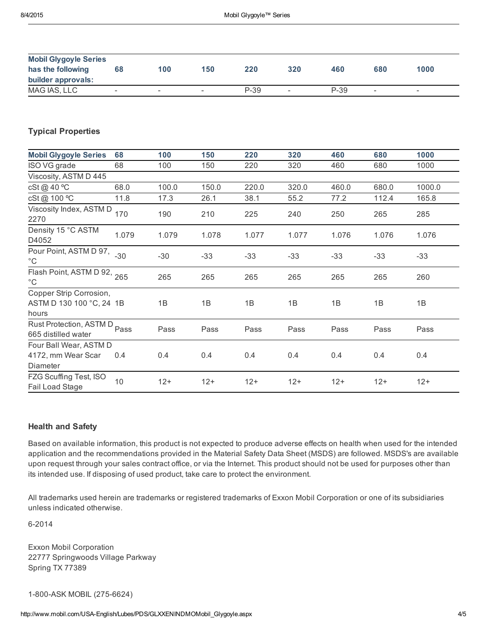| <b>Mobil Glygoyle Series</b><br>has the following<br>builder approvals: | 68                       | 100                      | 150                      | 220  | 320    | 460    | 680                      | 1000                     |
|-------------------------------------------------------------------------|--------------------------|--------------------------|--------------------------|------|--------|--------|--------------------------|--------------------------|
| MAG IAS, LLC                                                            | $\overline{\phantom{a}}$ | $\overline{\phantom{a}}$ | $\overline{\phantom{a}}$ | P-39 | $\sim$ | $P-39$ | $\overline{\phantom{0}}$ | $\overline{\phantom{0}}$ |

### Typical Properties

| <b>Mobil Glygoyle Series</b>                                 | 68    | 100   | 150   | 220   | 320   | 460   | 680   | 1000   |
|--------------------------------------------------------------|-------|-------|-------|-------|-------|-------|-------|--------|
| ISO VG grade                                                 | 68    | 100   | 150   | 220   | 320   | 460   | 680   | 1000   |
| Viscosity, ASTM D 445                                        |       |       |       |       |       |       |       |        |
| cSt@40 °C                                                    | 68.0  | 100.0 | 150.0 | 220.0 | 320.0 | 460.0 | 680.0 | 1000.0 |
| cSt@ 100 °C                                                  | 11.8  | 17.3  | 26.1  | 38.1  | 55.2  | 77.2  | 112.4 | 165.8  |
| Viscosity Index, ASTM D<br>2270                              | 170   | 190   | 210   | 225   | 240   | 250   | 265   | 285    |
| Density 15 °C ASTM<br>D4052                                  | 1.079 | 1.079 | 1.078 | 1.077 | 1.077 | 1.076 | 1.076 | 1.076  |
| Pour Point, ASTM D 97,<br>$^{\circ}$ C                       | $-30$ | $-30$ | $-33$ | $-33$ | $-33$ | -33   | $-33$ | $-33$  |
| Flash Point, ASTM D 92, 265<br>$^{\circ}$ C                  |       | 265   | 265   | 265   | 265   | 265   | 265   | 260    |
| Copper Strip Corrosion,<br>ASTM D 130 100 °C, 24 1B<br>hours |       | 1B    | 1B    | 1B    | 1B    | 1B    | 1B    | 1B     |
| Rust Protection, ASTM D Pass<br>665 distilled water          |       | Pass  | Pass  | Pass  | Pass  | Pass  | Pass  | Pass   |
| Four Ball Wear, ASTM D<br>4172, mm Wear Scar<br>Diameter     | 0.4   | 0.4   | 0.4   | 0.4   | 0.4   | 0.4   | 0.4   | 0.4    |
| FZG Scuffing Test, ISO<br>Fail Load Stage                    | 10    | $12+$ | $12+$ | $12+$ | $12+$ | $12+$ | $12+$ | $12+$  |

#### Health and Safety

Based on available information, this product is not expected to produce adverse effects on health when used for the intended application and the recommendations provided in the Material Safety Data Sheet (MSDS) are followed. MSDS's are available upon request through your sales contract office, or via the Internet. This product should not be used for purposes other than its intended use. If disposing of used product, take care to protect the environment.

All trademarks used herein are trademarks or registered trademarks of Exxon Mobil Corporation or one of its subsidiaries unless indicated otherwise.

6-2014

Exxon Mobil Corporation 22777 Springwoods Village Parkway Spring TX 77389

1-800-ASK MOBIL (275-6624)